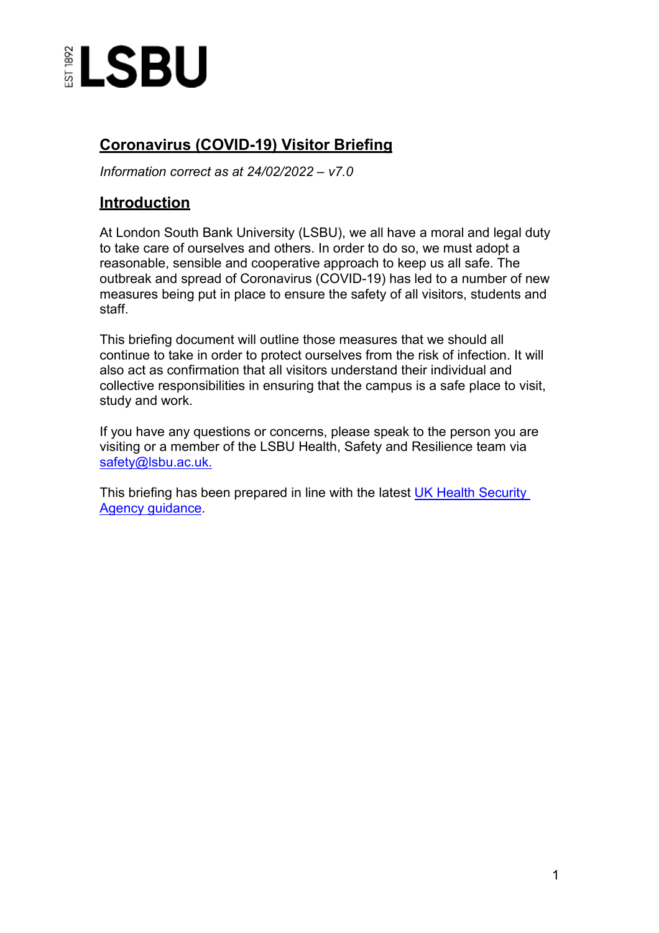

# **Coronavirus (COVID-19) Visitor Briefing**

*Information correct as at 24/02/2022 – v7.0*

## **Introduction**

At London South Bank University (LSBU), we all have a moral and legal duty to take care of ourselves and others. In order to do so, we must adopt a reasonable, sensible and cooperative approach to keep us all safe. The outbreak and spread of Coronavirus (COVID-19) has led to a number of new measures being put in place to ensure the safety of all visitors, students and staff.

This briefing document will outline those measures that we should all continue to take in order to protect ourselves from the risk of infection. It will also act as confirmation that all visitors understand their individual and collective responsibilities in ensuring that the campus is a safe place to visit, study and work.

If you have any questions or concerns, please speak to the person you are visiting or a member of the LSBU Health, Safety and Resilience team via [safety@lsbu.ac.uk.](mailto:safety@lsbu.ac.uk)

This briefing has been prepared in line with the latest [UK Health Security](https://www.gov.uk/government/publications/covid-19-people-with-covid-19-and-their-contacts/covid-19-people-with-covid-19-and-their-contacts)  [Agency guidance.](https://www.gov.uk/government/publications/covid-19-people-with-covid-19-and-their-contacts/covid-19-people-with-covid-19-and-their-contacts)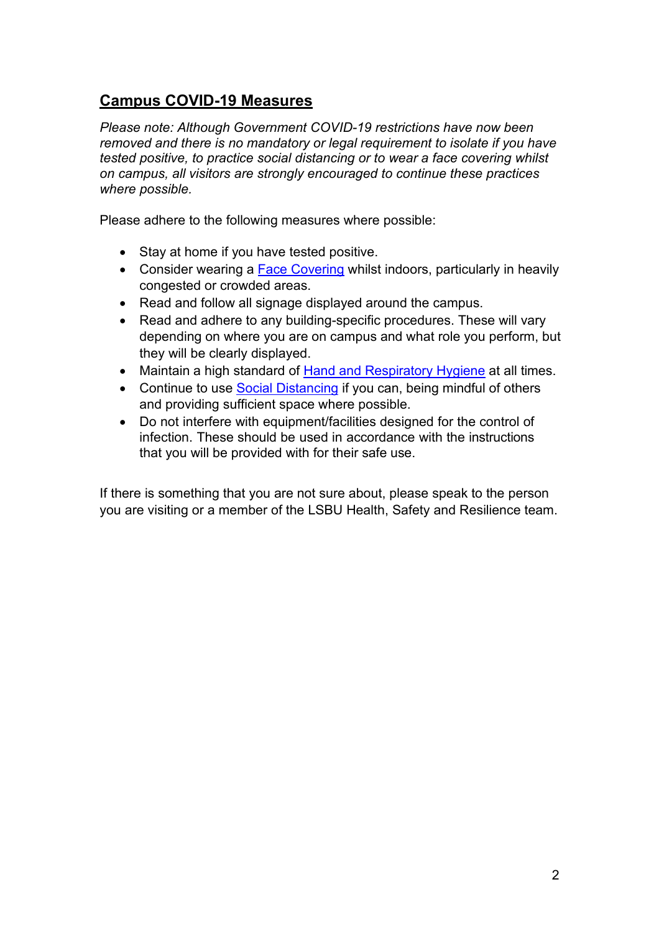# **Campus COVID-19 Measures**

*Please note: Although Government COVID-19 restrictions have now been removed and there is no mandatory or legal requirement to isolate if you have tested positive, to practice social distancing or to wear a face covering whilst on campus, all visitors are strongly encouraged to continue these practices where possible.*

Please adhere to the following measures where possible:

- Stay at home if you have tested positive.
- Consider wearing a **Face Covering** whilst indoors, particularly in heavily congested or crowded areas.
- Read and follow all signage displayed around the campus.
- Read and adhere to any building-specific procedures. These will vary depending on where you are on campus and what role you perform, but they will be clearly displayed.
- Maintain a high standard of [Hand and Respiratory Hygiene](#page-4-0) at all times.
- Continue to use [Social Distancing](#page-3-1) if you can, being mindful of others and providing sufficient space where possible.
- Do not interfere with equipment/facilities designed for the control of infection. These should be used in accordance with the instructions that you will be provided with for their safe use.

If there is something that you are not sure about, please speak to the person you are visiting or a member of the LSBU Health, Safety and Resilience team.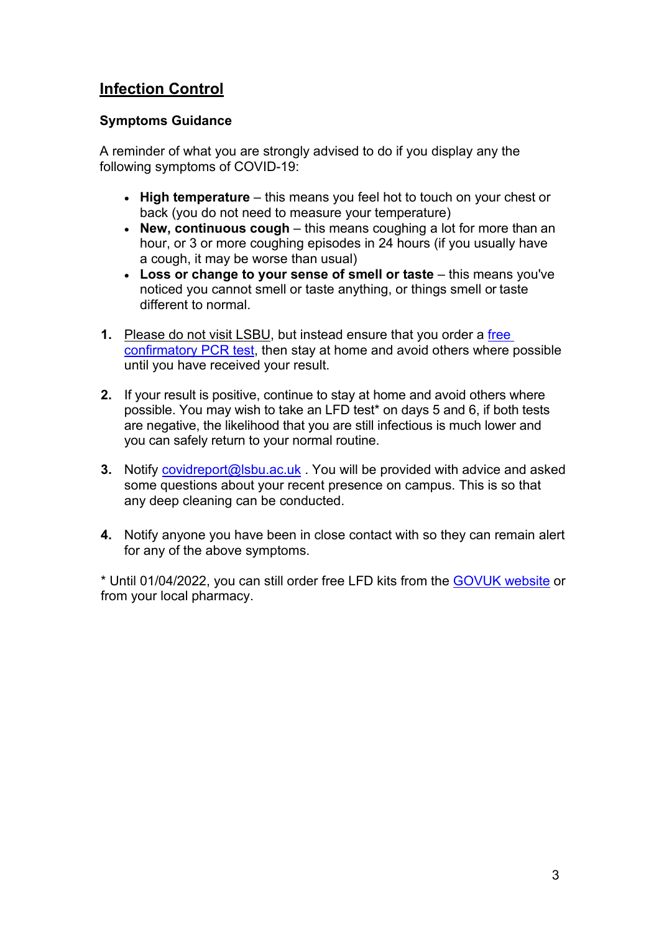# **Infection Control**

### **Symptoms Guidance**

A reminder of what you are strongly advised to do if you display any the following symptoms of COVID-19:

- **High temperature**  this means you feel hot to touch on your chest or back (you do not need to measure your temperature)
- **New, continuous cough** this means coughing a lot for more than an hour, or 3 or more coughing episodes in 24 hours (if you usually have a cough, it may be worse than usual)
- Loss or change to your sense of smell or taste this means you've noticed you cannot smell or taste anything, or things smell or taste different to normal.
- **1.** Please do not visit LSBU, but instead ensure that you order a [free](https://www.gov.uk/get-coronavirus-test)  [confirmatory PCR test,](https://www.gov.uk/get-coronavirus-test) then stay at home and avoid others where possible until you have received your result.
- **2.** If your result is positive, continue to stay at home and avoid others where possible. You may wish to take an LFD test\* on days 5 and 6, if both tests are negative, the likelihood that you are still infectious is much lower and you can safely return to your normal routine.
- **3.** Notify [covidreport@lsbu.ac.uk](mailto:covidreport@lsbu.ac.uk) . You will be provided with advice and asked some questions about your recent presence on campus. This is so that any deep cleaning can be conducted.
- **4.** Notify anyone you have been in close contact with so they can remain alert for any of the above symptoms.

\* Until 01/04/2022, you can still order free LFD kits from the [GOVUK website](https://www.gov.uk/order-coronavirus-rapid-lateral-flow-tests) or from your local pharmacy.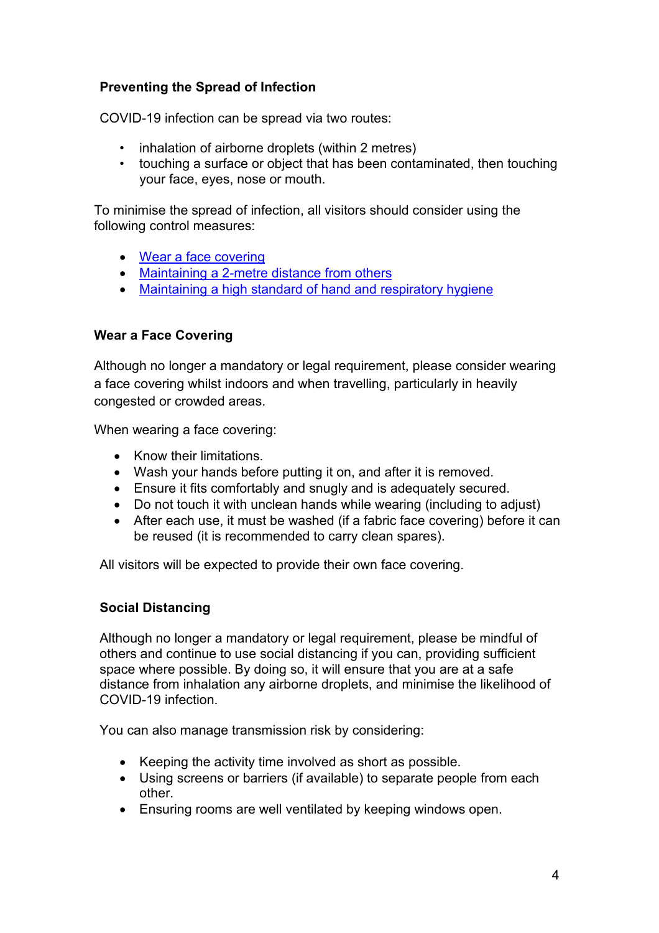### **Preventing the Spread of Infection**

COVID-19 infection can be spread via two routes:

- inhalation of airborne droplets (within 2 metres)
- touching a surface or object that has been contaminated, then touching your face, eyes, nose or mouth.

To minimise the spread of infection, all visitors should consider using the following control measures:

- [Wear a face](#page-3-0) covering
- [Maintaining a 2-metre distance from](#page-3-1) others
- [Maintaining a high standard of hand and respiratory](#page-4-0) hygiene

#### <span id="page-3-0"></span>**Wear a Face Covering**

Although no longer a mandatory or legal requirement, please consider wearing a face covering whilst indoors and when travelling, particularly in heavily congested or crowded areas.

When wearing a face covering:

- Know their limitations.
- Wash your hands before putting it on, and after it is removed.
- Ensure it fits comfortably and snugly and is adequately secured.
- Do not touch it with unclean hands while wearing (including to adjust)
- After each use, it must be washed (if a fabric face covering) before it can be reused (it is recommended to carry clean spares).

All visitors will be expected to provide their own face covering.

#### <span id="page-3-1"></span>**Social Distancing**

Although no longer a mandatory or legal requirement, please be mindful of others and continue to use social distancing if you can, providing sufficient space where possible. By doing so, it will ensure that you are at a safe distance from inhalation any airborne droplets, and minimise the likelihood of COVID-19 infection.

You can also manage transmission risk by considering:

- Keeping the activity time involved as short as possible.
- Using screens or barriers (if available) to separate people from each other.
- Ensuring rooms are well ventilated by keeping windows open.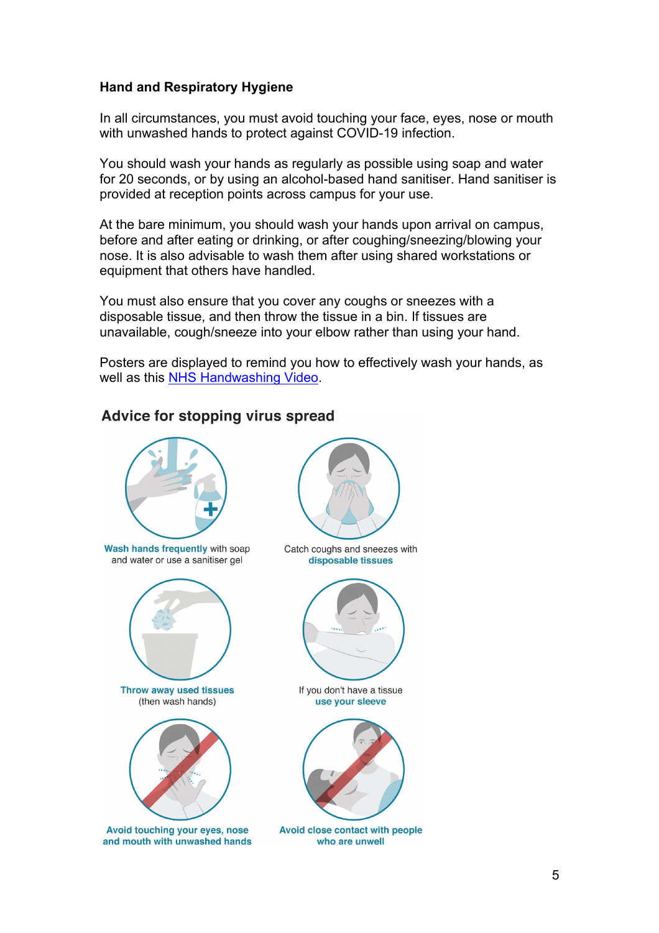### <span id="page-4-0"></span>**Hand and Respiratory Hygiene**

In all circumstances, you must avoid touching your face, eyes, nose or mouth with unwashed hands to protect against COVID-19 infection.

You should wash your hands as regularly as possible using soap and water for 20 seconds, or by using an alcohol-based hand sanitiser. Hand sanitiser is provided at reception points across campus for your use.

At the bare minimum, you should wash your hands upon arrival on campus, before and after eating or drinking, or after coughing/sneezing/blowing your nose. It is also advisable to wash them after using shared workstations or equipment that others have handled.

You must also ensure that you cover any coughs or sneezes with a disposable tissue, and then throw the tissue in a bin. If tissues are unavailable, cough/sneeze into your elbow rather than using your hand.

Posters are displayed to remind you how to effectively wash your hands, as well as this NHS Handwashing Video.

## Advice for stopping virus spread



and water or use a sanitiser gel



Throw away used tissues (then wash hands)



Avoid touching your eyes, nose and mouth with unwashed hands



Catch coughs and sneezes with disposable tissues



If you don't have a tissue use your sleeve



Avoid close contact with people who are unwell